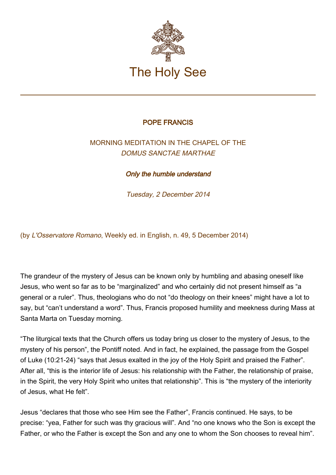

## POPE FRANCIS

## MORNING MEDITATION IN THE CHAPEL OF THE DOMUS SANCTAE MARTHAE

Only the humble understand

Tuesday, 2 December 2014

(by L'Osservatore Romano, Weekly ed. in English, n. 49, 5 December 2014)

The grandeur of the mystery of Jesus can be known only by humbling and abasing oneself like Jesus, who went so far as to be "marginalized" and who certainly did not present himself as "a general or a ruler". Thus, theologians who do not "do theology on their knees" might have a lot to say, but "can't understand a word". Thus, Francis proposed humility and meekness during Mass at Santa Marta on Tuesday morning.

"The liturgical texts that the Church offers us today bring us closer to the mystery of Jesus, to the mystery of his person", the Pontiff noted. And in fact, he explained, the passage from the Gospel of Luke (10:21-24) "says that Jesus exalted in the joy of the Holy Spirit and praised the Father". After all, "this is the interior life of Jesus: his relationship with the Father, the relationship of praise, in the Spirit, the very Holy Spirit who unites that relationship". This is "the mystery of the interiority of Jesus, what He felt".

Jesus "declares that those who see Him see the Father", Francis continued. He says, to be precise: "yea, Father for such was thy gracious will". And "no one knows who the Son is except the Father, or who the Father is except the Son and any one to whom the Son chooses to reveal him".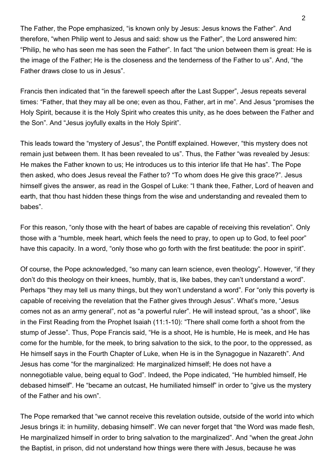The Father, the Pope emphasized, "is known only by Jesus: Jesus knows the Father". And therefore, "when Philip went to Jesus and said: show us the Father", the Lord answered him: "Philip, he who has seen me has seen the Father". In fact "the union between them is great: He is the image of the Father; He is the closeness and the tenderness of the Father to us". And, "the Father draws close to us in Jesus".

Francis then indicated that "in the farewell speech after the Last Supper", Jesus repeats several times: "Father, that they may all be one; even as thou, Father, art in me". And Jesus "promises the Holy Spirit, because it is the Holy Spirit who creates this unity, as he does between the Father and the Son". And "Jesus joyfully exalts in the Holy Spirit".

This leads toward the "mystery of Jesus", the Pontiff explained. However, "this mystery does not remain just between them. It has been revealed to us". Thus, the Father "was revealed by Jesus: He makes the Father known to us; He introduces us to this interior life that He has". The Pope then asked, who does Jesus reveal the Father to? "To whom does He give this grace?". Jesus himself gives the answer, as read in the Gospel of Luke: "I thank thee, Father, Lord of heaven and earth, that thou hast hidden these things from the wise and understanding and revealed them to babes".

For this reason, "only those with the heart of babes are capable of receiving this revelation". Only those with a "humble, meek heart, which feels the need to pray, to open up to God, to feel poor" have this capacity. In a word, "only those who go forth with the first beatitude: the poor in spirit".

Of course, the Pope acknowledged, "so many can learn science, even theology". However, "if they don't do this theology on their knees, humbly, that is, like babes, they can't understand a word". Perhaps "they may tell us many things, but they won't understand a word". For "only this poverty is capable of receiving the revelation that the Father gives through Jesus". What's more, "Jesus comes not as an army general", not as "a powerful ruler". He will instead sprout, "as a shoot", like in the First Reading from the Prophet Isaiah (11:1-10): "There shall come forth a shoot from the stump of Jesse". Thus, Pope Francis said, "He is a shoot, He is humble, He is meek, and He has come for the humble, for the meek, to bring salvation to the sick, to the poor, to the oppressed, as He himself says in the Fourth Chapter of Luke, when He is in the Synagogue in Nazareth". And Jesus has come "for the marginalized: He marginalized himself; He does not have a nonnegotiable value, being equal to God". Indeed, the Pope indicated, "He humbled himself, He debased himself". He "became an outcast, He humiliated himself" in order to "give us the mystery of the Father and his own".

The Pope remarked that "we cannot receive this revelation outside, outside of the world into which Jesus brings it: in humility, debasing himself". We can never forget that "the Word was made flesh, He marginalized himself in order to bring salvation to the marginalized". And "when the great John the Baptist, in prison, did not understand how things were there with Jesus, because he was